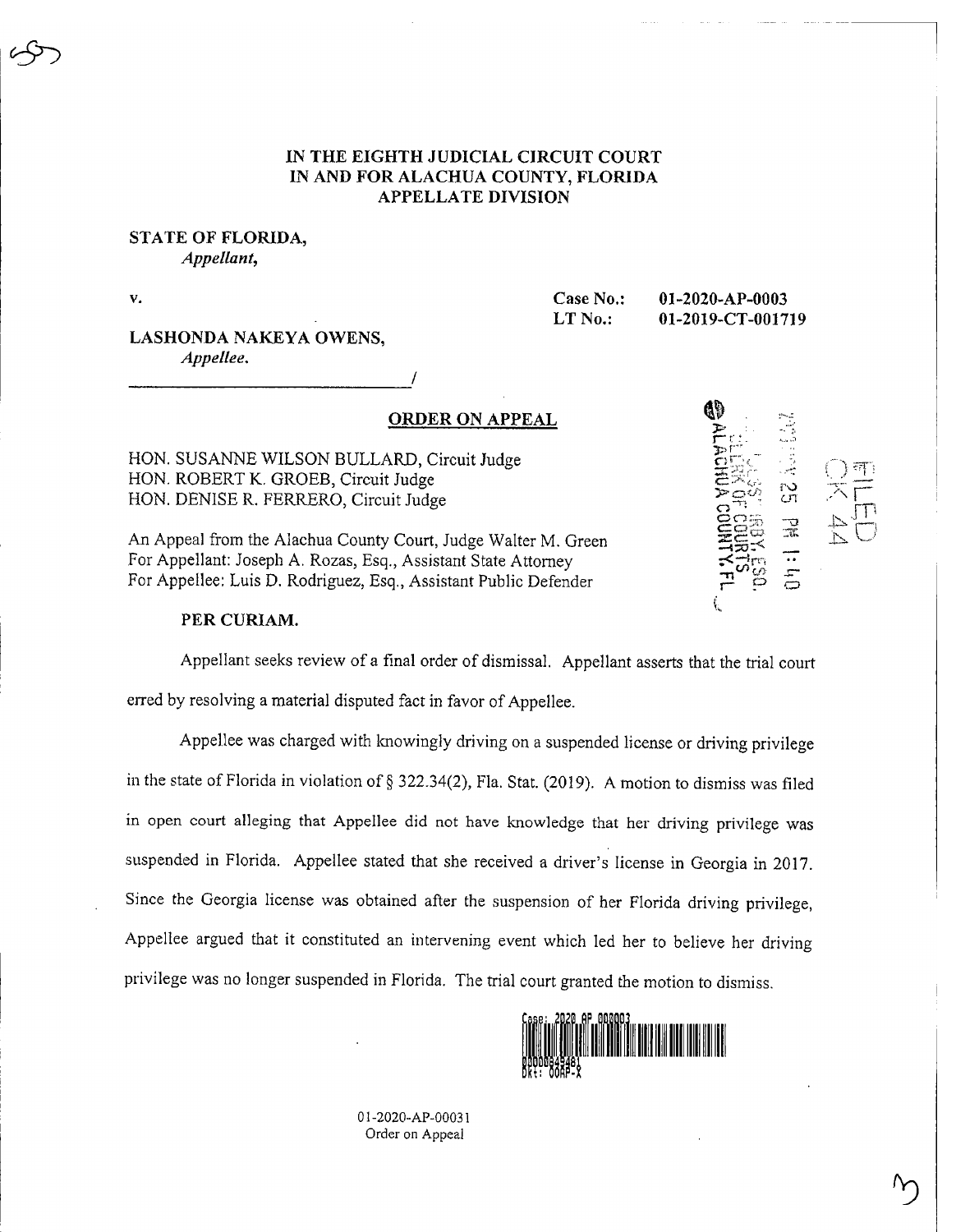### IN THE EIGHTH JUDICIAL CIRCUIT COURT IN AND FOR ALACHUA COUNTY, FLORIDA APPELLATE DIVISION

#### STATE OF FLORIDA, Appellant,

V.

Case No.: 01-2020-AP-0003 LT No.: 01-2019-CT-001719

 $\overline{\cdots}$ 

.<br>.<br>.

## LASHONDA NAKEYA OWENS, Appellee.

#### ORDER ON APPEAL

HON. SUSANNE WILSON BULLARD, Circuit Judge HON. ROBERT K. GROEB, Circuit Judge HON. DENISE R. FERRERO, Circuit Judge

An Appeal from the Alachua County Court, Judge Walter M. Green For Appellant: Joseph A. Rozas, Esq., Assistant State Attorney For Appellee: Luis D. Rodriguez, Esq., Assistant Public Defender

#### PER CURIAM.

Appellant seeks review of a final order of dismissal. Appellant asserts that the trial court

erred by resolving a material disputed fact in favor of Appellee.

Appellee was charged with knowingly driving on a suspended license or driving privilege in the state of Florida in violation of § 322.34(2), Fla. Stat. (2019). A motion to dismiss was filed in open court alleging that Appellee did not have knowledge that her driving privilege was suspended in Florida. Appellee stated that she received a driver's license in Georgia in 2017. Since the Georgia license was obtained after the suspension of her Florida driving privilege, Appellee argued that it constituted an intervening event which led her to believe her driving privilege was no longer suspended in Florida. The trial court granted the motion to dismiss.



01-2020-AP-00031 Order on Appeal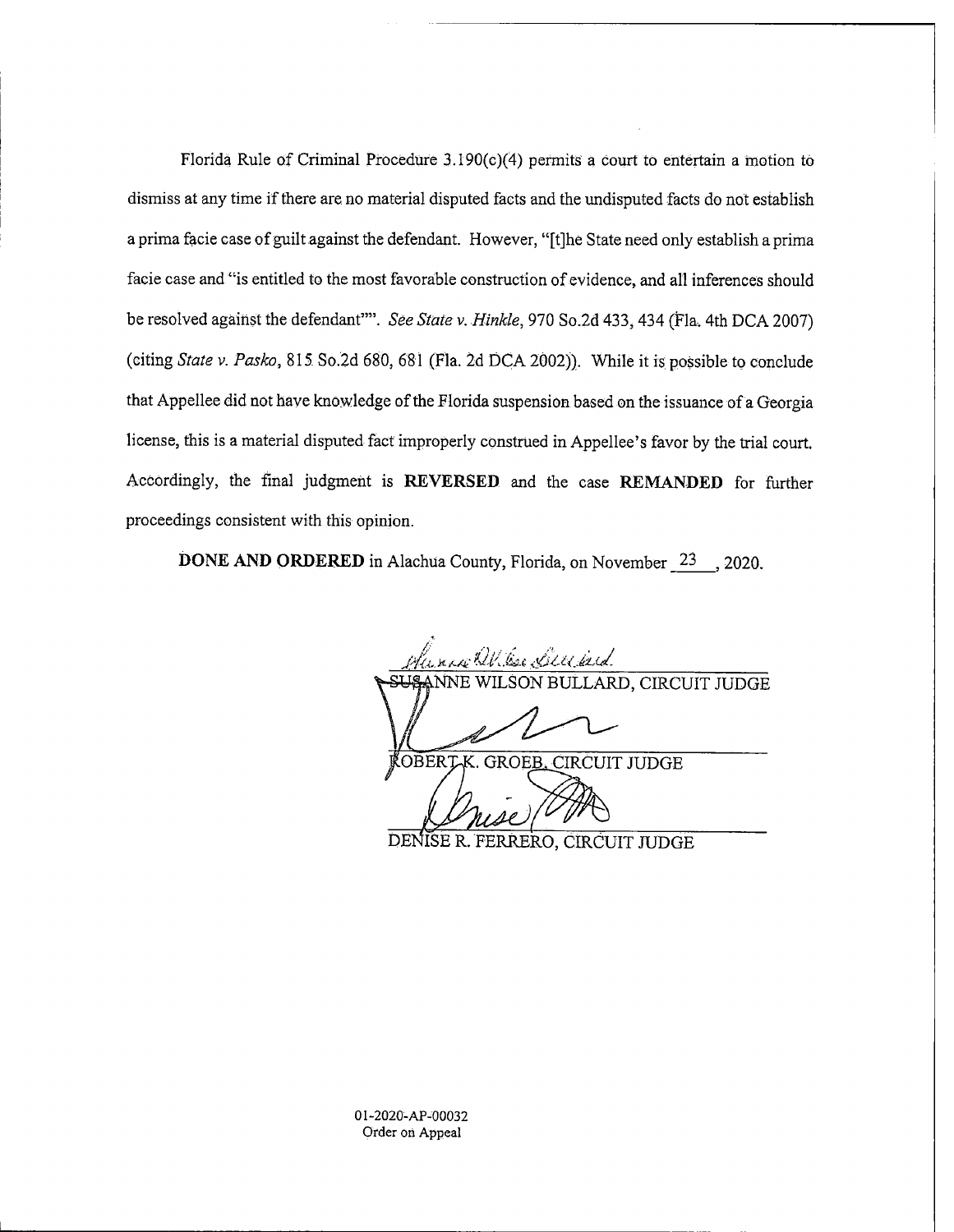Florida Rule of Criminal Procedure  $3.190(c)(4)$  permits a court to entertain a motion to dismiss at any time if there are no material disputed facts and the undisputed facts do not establish a prima facie case of guilt against the defendant. However, "[t]he State need only establish a prima facie case and "is entitled to the most favorable construction of evidence, and all inferences should be resolved against the defendant"". See State v. Hinkle, 970 So.2d 433, 434 (Fla. 4th DCA 2007) (citing State v. Pasko, 815 So.2d 680, 681 (Fla. 2d DCA 2002)). While it is possible to conclude that Appellee did not have knowledge of the Florida suspension based on the issuance of a Georgia license, this is a material disputed fact improperly construed in Appellee's favor by the trial court. Accordingly, the final judgment is REVERSED and the case REMANDED for further proceedings consistent with this opinion.

DONE AND ORDERED in Alachua County, Florida, on November 23, 2020.

it is the  $i$  -4  $i$  , that  $i$ ARD, CIRCUIT JUDGE GROEB, CIRCUIT JUDGE OBERT

DE ISE R. FERRERO, CIRCUIT JUDGE

01-2020-AP-00032 Order on Appeal